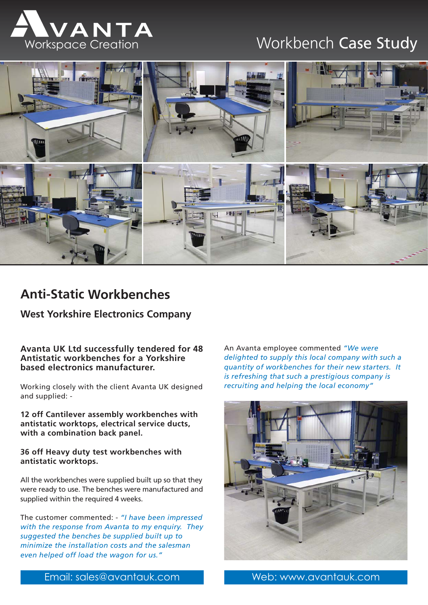



# **Anti-Static Workbenches**

## **West Yorkshire Electronics Company**

**Avanta UK Ltd successfully tendered for 48 Antistatic workbenches for a Yorkshire based electronics manufacturer.**

Working closely with the client Avanta UK designed and supplied: -

**12 off Cantilever assembly workbenches with antistatic worktops, electrical service ducts, with a combination back panel.**

### **36 off Heavy duty test workbenches with antistatic worktops.**

All the workbenches were supplied built up so that they were ready to use. The benches were manufactured and supplied within the required 4 weeks.

The customer commented: - *"I have been impressed with the response from Avanta to my enquiry. They suggested the benches be supplied built up to minimize the installation costs and the salesman even helped off load the wagon for us."*

An Avanta employee commented *"We were delighted to supply this local company with such a quantity of workbenches for their new starters. It is refreshing that such a prestigious company is recruiting and helping the local economy"*



Email: sales@avantauk.com Web: www.avantauk.com